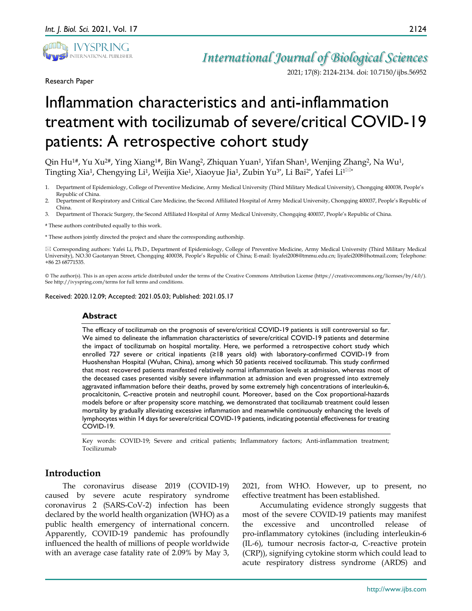

Research Paper

*International Journal of Biological Sciences*

2021; 17(8): 2124-2134. doi: 10.7150/ijbs.56952

# Inflammation characteristics and anti-inflammation treatment with tocilizumab of severe/critical COVID-19 patients: A retrospective cohort study

Qin Hu<sup>1#</sup>, Yu Xu<sup>2#</sup>, Ying Xiang<sup>1#</sup>, Bin Wang<sup>2</sup>, Zhiquan Yuan<sup>1</sup>, Yifan Shan<sup>1</sup>, Wenjing Zhang<sup>2</sup>, Na Wu<sup>1</sup>, Tingting Xia<sup>1</sup>, Chengying Li<sup>1</sup>, Weijia Xie<sup>1</sup>, Xiaoyue Jia<sup>1</sup>, Zubin Yu<sup>3\*</sup>, Li Bai<sup>2\*</sup>, Yafei Li<sup>1⊠\*</sup>

- 1. Department of Epidemiology, College of Preventive Medicine, Army Medical University (Third Military Medical University), Chongqing 400038, People's Republic of China.
- 2. Department of Respiratory and Critical Care Medicine, the Second Affiliated Hospital of Army Medical University, Chongqing 400037, People's Republic of China.
- 3. Department of Thoracic Surgery, the Second Affiliated Hospital of Army Medical University, Chongqing 400037, People's Republic of China.

# These authors contributed equally to this work.

\* These authors jointly directed the project and share the corresponding authorship.

 $\boxtimes$  Corresponding authors: Yafei Li, Ph.D., Department of Epidemiology, College of Preventive Medicine, Army Medical University (Third Military Medical University), NO.30 Gaotanyan Street, Chongqing 400038, People's Republic of China; E-mail: liyafei2008@tmmu.edu.cn; liyafei2008@hotmail.com; Telephone: +86 23 68771535.

© The author(s). This is an open access article distributed under the terms of the Creative Commons Attribution License (https://creativecommons.org/licenses/by/4.0/). See http://ivyspring.com/terms for full terms and conditions.

Received: 2020.12.09; Accepted: 2021.05.03; Published: 2021.05.17

#### **Abstract**

The efficacy of tocilizumab on the prognosis of severe/critical COVID-19 patients is still controversial so far. We aimed to delineate the inflammation characteristics of severe/critical COVID-19 patients and determine the impact of tocilizumab on hospital mortality. Here, we performed a retrospective cohort study which enrolled 727 severe or critical inpatients (≥18 years old) with laboratory-confirmed COVID-19 from Huoshenshan Hospital (Wuhan, China), among which 50 patients received tocilizumab. This study confirmed that most recovered patients manifested relatively normal inflammation levels at admission, whereas most of the deceased cases presented visibly severe inflammation at admission and even progressed into extremely aggravated inflammation before their deaths, proved by some extremely high concentrations of interleukin-6, procalcitonin, C-reactive protein and neutrophil count. Moreover, based on the Cox proportional-hazards models before or after propensity score matching, we demonstrated that tocilizumab treatment could lessen mortality by gradually alleviating excessive inflammation and meanwhile continuously enhancing the levels of lymphocytes within 14 days for severe/critical COVID-19 patients, indicating potential effectiveness for treating COVID-19.

Key words: COVID-19; Severe and critical patients; Inflammatory factors; Anti-inflammation treatment; Tocilizumab

# **Introduction**

The coronavirus disease 2019 (COVID-19) caused by severe acute respiratory syndrome coronavirus 2 (SARS-CoV-2) infection has been declared by the world health organization (WHO) as a public health emergency of international concern. Apparently, COVID-19 pandemic has profoundly influenced the health of millions of people worldwide with an average case fatality rate of 2.09% by May 3,

2021, from WHO. However, up to present, no effective treatment has been established.

Accumulating evidence strongly suggests that most of the severe COVID-19 patients may manifest the excessive and uncontrolled release of pro-inflammatory cytokines (including interleukin-6 (IL-6), tumour necrosis factor-α, C-reactive protein (CRP)), signifying cytokine storm which could lead to acute respiratory distress syndrome (ARDS) and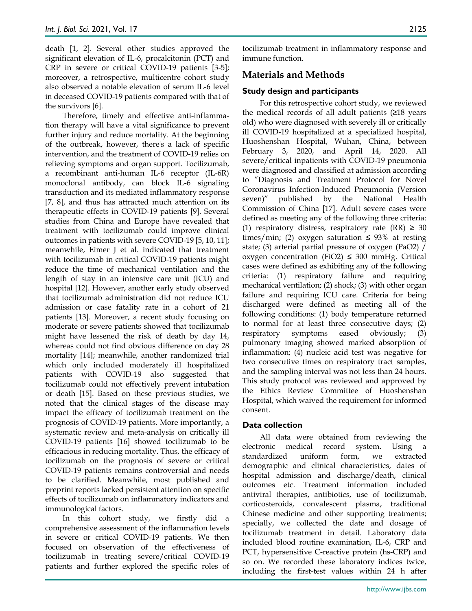death [1, 2]. Several other studies approved the significant elevation of IL-6, procalcitonin (PCT) and CRP in severe or critical COVID-19 patients [3-5]; moreover, a retrospective, multicentre cohort study also observed a notable elevation of serum IL-6 level in deceased COVID-19 patients compared with that of the survivors [6].

Therefore, timely and effective anti-inflammation therapy will have a vital significance to prevent further injury and reduce mortality. At the beginning of the outbreak, however, there's a lack of specific intervention, and the treatment of COVID-19 relies on relieving symptoms and organ support. Tocilizumab, a recombinant anti-human IL-6 receptor (IL-6R) monoclonal antibody, can block IL-6 signaling transduction and its mediated inflammatory response [7, 8], and thus has attracted much attention on its therapeutic effects in COVID-19 patients [9]. Several studies from China and Europe have revealed that treatment with tocilizumab could improve clinical outcomes in patients with severe COVID-19 [5, 10, 11]; meanwhile, Eimer J et al. indicated that treatment with tocilizumab in critical COVID-19 patients might reduce the time of mechanical ventilation and the length of stay in an intensive care unit (ICU) and hospital [12]. However, another early study observed that tocilizumab administration did not reduce ICU admission or case fatality rate in a cohort of 21 patients [13]. Moreover, a recent study focusing on moderate or severe patients showed that tocilizumab might have lessened the risk of death by day 14, whereas could not find obvious difference on day 28 mortality [14]; meanwhile, another randomized trial which only included moderately ill hospitalized patients with COVID-19 also suggested that tocilizumab could not effectively prevent intubation or death [15]. Based on these previous studies, we noted that the clinical stages of the disease may impact the efficacy of tocilizumab treatment on the prognosis of COVID-19 patients. More importantly, a systematic review and meta-analysis on critically ill COVID-19 patients [16] showed tocilizumab to be efficacious in reducing mortality. Thus, the efficacy of tocilizumab on the prognosis of severe or critical COVID-19 patients remains controversial and needs to be clarified. Meanwhile, most published and preprint reports lacked persistent attention on specific effects of tocilizumab on inflammatory indicators and immunological factors.

In this cohort study, we firstly did a comprehensive assessment of the inflammation levels in severe or critical COVID-19 patients. We then focused on observation of the effectiveness of tocilizumab in treating severe/critical COVID-19 patients and further explored the specific roles of tocilizumab treatment in inflammatory response and immune function.

# **Materials and Methods**

## **Study design and participants**

For this retrospective cohort study, we reviewed the medical records of all adult patients (≥18 years old) who were diagnosed with severely ill or critically ill COVID-19 hospitalized at a specialized hospital, Huoshenshan Hospital, Wuhan, China, between February 3, 2020, and April 14, 2020. All severe/critical inpatients with COVID-19 pneumonia were diagnosed and classified at admission according to "Diagnosis and Treatment Protocol for Novel Coronavirus Infection-Induced Pneumonia (Version seven)" published by the National Health Commission of China [17]. Adult severe cases were defined as meeting any of the following three criteria: (1) respiratory distress, respiratory rate  $(RR) \geq 30$ times/min; (2) oxygen saturation  $\leq$  93% at resting state; (3) arterial partial pressure of oxygen (PaO2) / oxygen concentration (FiO2)  $\leq$  300 mmHg. Critical cases were defined as exhibiting any of the following criteria: (1) respiratory failure and requiring mechanical ventilation; (2) shock; (3) with other organ failure and requiring ICU care. Criteria for being discharged were defined as meeting all of the following conditions: (1) body temperature returned to normal for at least three consecutive days; (2) respiratory symptoms eased obviously; (3) pulmonary imaging showed marked absorption of inflammation; (4) nucleic acid test was negative for two consecutive times on respiratory tract samples, and the sampling interval was not less than 24 hours. This study protocol was reviewed and approved by the Ethics Review Committee of Huoshenshan Hospital, which waived the requirement for informed consent.

# **Data collection**

All data were obtained from reviewing the electronic medical record system. Using standardized uniform form, we extracted demographic and clinical characteristics, dates of hospital admission and discharge/death, clinical outcomes etc. Treatment information included antiviral therapies, antibiotics, use of tocilizumab, corticosteroids, convalescent plasma, traditional Chinese medicine and other supporting treatments; specially, we collected the date and dosage of tocilizumab treatment in detail. Laboratory data included blood routine examination, IL-6, CRP and PCT, hypersensitive C-reactive protein (hs-CRP) and so on. We recorded these laboratory indices twice, including the first-test values within 24 h after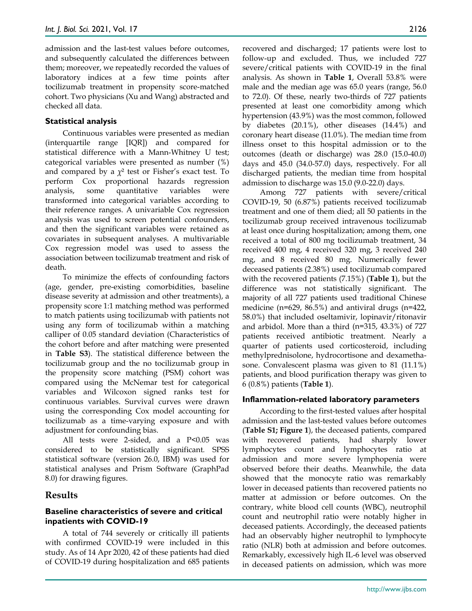admission and the last-test values before outcomes, and subsequently calculated the differences between them; moreover, we repeatedly recorded the values of laboratory indices at a few time points after tocilizumab treatment in propensity score-matched cohort. Two physicians (Xu and Wang) abstracted and checked all data.

# **Statistical analysis**

Continuous variables were presented as median (interquartile range [IQR]) and compared for statistical difference with a Mann-Whitney U test; categorical variables were presented as number (%) and compared by a  $\chi^2$  test or Fisher's exact test. To perform Cox proportional hazards regression analysis, some quantitative variables were transformed into categorical variables according to their reference ranges. A univariable Cox regression analysis was used to screen potential confounders, and then the significant variables were retained as covariates in subsequent analyses. A multivariable Cox regression model was used to assess the association between tocilizumab treatment and risk of death.

To minimize the effects of confounding factors (age, gender, pre-existing comorbidities, baseline disease severity at admission and other treatments), a propensity score 1:1 matching method was performed to match patients using tocilizumab with patients not using any form of tocilizumab within a matching calliper of 0.05 standard deviation (Characteristics of the cohort before and after matching were presented in **Table S3**). The statistical difference between the tocilizumab group and the no tocilizumab group in the propensity score matching (PSM) cohort was compared using the McNemar test for categorical variables and Wilcoxon signed ranks test for continuous variables. Survival curves were drawn using the corresponding Cox model accounting for tocilizumab as a time-varying exposure and with adjustment for confounding bias.

All tests were 2-sided, and a P<0.05 was considered to be statistically significant*.* SPSS statistical software (version 26.0, IBM) was used for statistical analyses and Prism Software (GraphPad 8.0) for drawing figures.

# **Results**

## **Baseline characteristics of severe and critical inpatients with COVID-19**

A total of 744 severely or critically ill patients with confirmed COVID-19 were included in this study. As of 14 Apr 2020, 42 of these patients had died of COVID-19 during hospitalization and 685 patients recovered and discharged; 17 patients were lost to follow-up and excluded. Thus, we included 727 severe/critical patients with COVID-19 in the final analysis. As shown in **Table 1**, Overall 53.8% were male and the median age was 65.0 years (range, 56.0 to 72.0). Of these, nearly two-thirds of 727 patients presented at least one comorbidity among which hypertension (43.9%) was the most common, followed by diabetes (20.1%), other diseases (14.4%) and coronary heart disease (11.0%). The median time from illness onset to this hospital admission or to the outcomes (death or discharge) was 28.0 (15.0-40.0) days and 45.0 (34.0-57.0) days, respectively. For all discharged patients, the median time from hospital admission to discharge was 15.0 (9.0-22.0) days.

Among 727 patients with severe/critical COVID-19, 50 (6.87%) patients received tocilizumab treatment and one of them died; all 50 patients in the tocilizumab group received intravenous tocilizumab at least once during hospitalization; among them, one received a total of 800 mg tocilizumab treatment, 34 received 400 mg, 4 received 320 mg, 3 received 240 mg, and 8 received 80 mg. Numerically fewer deceased patients (2.38%) used tocilizumab compared with the recovered patients (7.15%) (**Table 1**), but the difference was not statistically significant. The majority of all 727 patients used traditional Chinese medicine (n=629, 86.5%) and antiviral drugs (n=422, 58.0%) that included oseltamivir, lopinavir/ritonavir and arbidol. More than a third (n=315, 43.3%) of 727 patients received antibiotic treatment. Nearly a quarter of patients used corticosteroid, including methylprednisolone, hydrocortisone and dexamethasone. Convalescent plasma was given to 81 (11.1%) patients, and blood purification therapy was given to 6 (0.8%) patients (**Table 1**).

# **Inflammation-related laboratory parameters**

According to the first-tested values after hospital admission and the last-tested values before outcomes (**Table S1; Figure 1**), the deceased patients, compared with recovered patients, had sharply lower lymphocytes count and lymphocytes ratio at admission and more severe lymphopenia were observed before their deaths. Meanwhile, the data showed that the monocyte ratio was remarkably lower in deceased patients than recovered patients no matter at admission or before outcomes. On the contrary, white blood cell counts (WBC), neutrophil count and neutrophil ratio were notably higher in deceased patients. Accordingly, the deceased patients had an observably higher neutrophil to lymphocyte ratio (NLR) both at admission and before outcomes. Remarkably, excessively high IL-6 level was observed in deceased patients on admission, which was more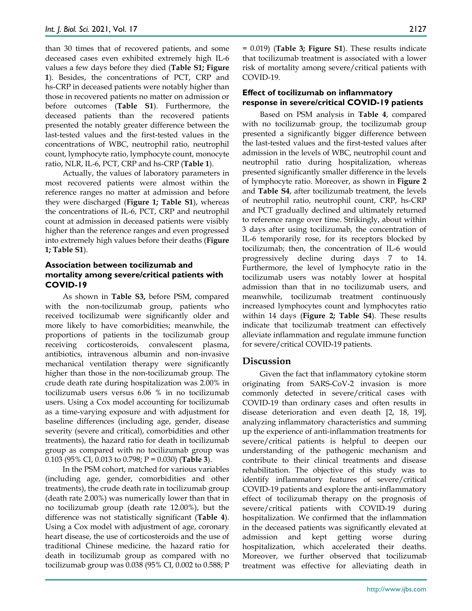than 30 times that of recovered patients, and some deceased cases even exhibited extremely high IL-6 values a few days before they died (**Table S1; Figure 1**). Besides, the concentrations of PCT, CRP and hs-CRP in deceased patients were notably higher than those in recovered patients no matter on admission or before outcomes (**Table S1**). Furthermore, the deceased patients than the recovered patients presented the notably greater difference between the last-tested values and the first-tested values in the concentrations of WBC, neutrophil ratio, neutrophil count, lymphocyte ratio, lymphocyte count, monocyte ratio, NLR, IL-6, PCT, CRP and hs-CRP (**Table 1**).

Actually, the values of laboratory parameters in most recovered patients were almost within the reference ranges no matter at admission and before they were discharged (**Figure 1; Table S1**), whereas the concentrations of IL-6, PCT, CRP and neutrophil count at admission in deceased patients were visibly higher than the reference ranges and even progressed into extremely high values before their deaths (**Figure 1; Table S1**).

# **Association between tocilizumab and mortality among severe/critical patients with COVID-19**

As shown in **Table S3,** before PSM, compared with the non-tocilizumab group, patients who received tocilizumab were significantly older and more likely to have comorbidities; meanwhile, the proportions of patients in the tocilizumab group receiving corticosteroids, convalescent plasma, antibiotics, intravenous albumin and non-invasive mechanical ventilation therapy were significantly higher than those in the non-tocilizumab group. The crude death rate during hospitalization was 2.00% in tocilizumab users versus 6.06 % in no tocilizumab users. Using a Cox model accounting for tocilizumab as a time-varying exposure and with adjustment for baseline differences (including age, gender, disease severity (severe and critical), comorbidities and other treatments), the hazard ratio for death in tocilizumab group as compared with no tocilizumab group was 0.103 (95% CI, 0.013 to 0.798; P = 0.030) (**Table 3**).

In the PSM cohort, matched for various variables (including age, gender, comorbidities and other treatments), the crude death rate in tocilizumab group (death rate 2.00%) was numerically lower than that in no tocilizumab group (death rate 12.00%), but the difference was not statistically significant (**Table 4**). Using a Cox model with adjustment of age, coronary heart disease, the use of corticosteroids and the use of traditional Chinese medicine, the hazard ratio for death in tocilizumab group as compared with no tocilizumab group was 0.038 (95% CI, 0.002 to 0.588; P

= 0.019) (**Table 3; Figure S1**). These results indicate that tocilizumab treatment is associated with a lower risk of mortality among severe/critical patients with COVID-19.

# **Effect of tocilizumab on inflammatory response in severe/critical COVID-19 patients**

Based on PSM analysis in **Table 4**, compared with no tocilizumab group, the tocilizumab group presented a significantly bigger difference between the last-tested values and the first-tested values after admission in the levels of WBC, neutrophil count and neutrophil ratio during hospitalization, whereas presented significantly smaller difference in the levels of lymphocyte ratio. Moreover, as shown in **Figure 2** and **Table S4**, after tocilizumab treatment, the levels of neutrophil ratio, neutrophil count, CRP, hs-CRP and PCT gradually declined and ultimately returned to reference range over time. Strikingly, about within 3 days after using tocilizumab, the concentration of IL-6 temporarily rose, for its receptors blocked by tocilizumab; then, the concentration of IL-6 would progressively decline during days 7 to 14. Furthermore, the level of lymphocyte ratio in the tocilizumab users was notably lower at hospital admission than that in no tocilizumab users, and meanwhile, tocilizumab treatment continuously increased lymphocytes count and lymphocytes ratio within 14 days (**Figure 2; Table S4**). These results indicate that tocilizumab treatment can effectively alleviate inflammation and regulate immune function for severe/critical COVID-19 patients.

# **Discussion**

Given the fact that inflammatory cytokine storm originating from SARS-CoV-2 invasion is more commonly detected in severe/critical cases with COVID-19 than ordinary cases and often results in disease deterioration and even death [2, 18, 19], analyzing inflammatory characteristics and summing up the experience of anti-inflammation treatments for severe/critical patients is helpful to deepen our understanding of the pathogenic mechanism and contribute to their clinical treatments and disease rehabilitation. The objective of this study was to identify inflammatory features of severe/critical COVID-19 patients and explore the anti-inflammatory effect of tocilizumab therapy on the prognosis of severe/critical patients with COVID-19 during hospitalization. We confirmed that the inflammation in the deceased patients was significantly elevated at admission and kept getting worse during hospitalization, which accelerated their deaths. Moreover, we further observed that tocilizumab treatment was effective for alleviating death in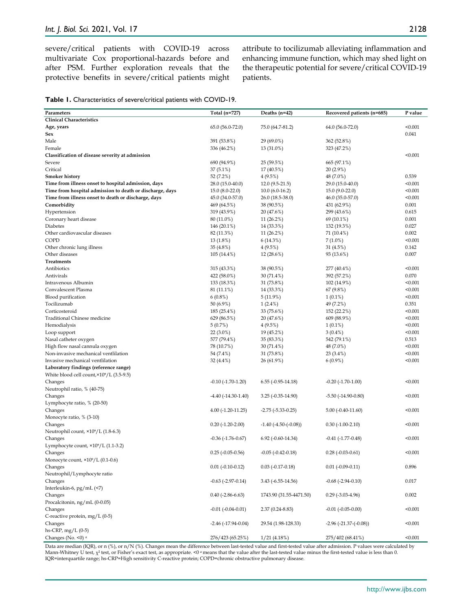severe/critical patients with COVID-19 across multivariate Cox proportional-hazards before and after PSM. Further exploration reveals that the protective benefits in severe/critical patients might attribute to tocilizumab alleviating inflammation and enhancing immune function, which may shed light on the therapeutic potential for severe/critical COVID-19 patients.

| <b>Table 1.</b> Characteristics of severe/critical patients with COVID-19. |  |
|----------------------------------------------------------------------------|--|
|----------------------------------------------------------------------------|--|

| Parameters                                               | Total (n=727)               | Deaths $(n=42)$             | Recovered patients (n=685)       | P value |
|----------------------------------------------------------|-----------------------------|-----------------------------|----------------------------------|---------|
| <b>Clinical Characteristics</b>                          |                             |                             |                                  |         |
|                                                          |                             |                             |                                  |         |
| Age, years                                               | 65.0 (56.0-72.0)            | 75.0 (64.7-81.2)            | 64.0 (56.0-72.0)                 | < 0.001 |
| Sex                                                      |                             |                             |                                  | 0.041   |
| Male                                                     | 391 (53.8%)                 | 29 (69.0%)                  | 362 (52.8%)                      |         |
| Female                                                   | 336 (46.2%)                 | 13 (31.0%)                  | 323 (47.2%)                      |         |
| Classification of disease severity at admission          |                             |                             |                                  | < 0.001 |
| Severe                                                   | 690 (94.9%)                 | 25 (59.5%)                  | 665 (97.1%)                      |         |
| Critical                                                 | 37 (5.1%)                   | 17 (40.5%)                  | 20 (2.9%)                        |         |
| <b>Smoker history</b>                                    | 52 (7.2%)                   | 4(9.5%)                     | 48 (7.0%)                        | 0.539   |
| Time from illness onset to hospital admission, days      | 28.0 (15.0-40.0)            | $12.0(9.5-21.5)$            | 29.0 (15.0-40.0)                 | < 0.001 |
| Time from hospital admission to death or discharge, days | $15.0 (8.0 - 22.0)$         | $10.0(6.0-16.2)$            | 15.0 (9.0-22.0)                  | < 0.001 |
| Time from illness onset to death or discharge, days      | 45.0 (34.0-57.0)            | $26.0(18.5-38.0)$           | 46.0 (35.0-57.0)                 | < 0.001 |
| Comorbidity                                              | 469 (64.5%)                 | 38 (90.5%)                  | 431 (62.9%)                      | 0.001   |
| Hypertension                                             | 319 (43.9%)                 | 20 (47.6%)                  | 299 (43.6%)                      | 0.615   |
|                                                          |                             |                             |                                  | 0.001   |
| Coronary heart disease                                   | 80 (11.0%)                  | 11(26.2%)                   | 69 (10.1%)                       |         |
| Diabetes                                                 | 146 (20.1%)                 | 14 (33.3%)                  | 132 (19.3%)                      | 0.027   |
| Other cardiovascular diseases                            | 82 (11.3%)                  | 11(26.2%)                   | 71 (10.4%)                       | 0.002   |
| COPD                                                     | 13 (1.8%)                   | 6(14.3%)                    | $7(1.0\%)$                       | < 0.001 |
| Other chronic lung illness                               | 35 (4.8%)                   | 4(9.5%)                     | 31 (4.5%)                        | 0.142   |
| Other diseases                                           | 105 (14.4%)                 | 12(28.6%)                   | 93 (13.6%)                       | 0.007   |
| <b>Treatments</b>                                        |                             |                             |                                  |         |
| Antibiotics                                              | 315 (43.3%)                 | 38 (90.5%)                  | 277 (40.4%)                      | < 0.001 |
| Antivirals                                               | 422 (58.0%)                 | 30 (71.4%)                  | 392 (57.2%)                      | 0.070   |
| Intravenous Albumin                                      | 133 (18.3%)                 | 31 (73.8%)                  | 102 (14.9%)                      | < 0.001 |
| Convalescent Plasma                                      | 81 (11.1%)                  | 14 (33.3%)                  | 67 (9.8%)                        | < 0.001 |
| Blood purification                                       | $6(0.8\%)$                  | 5(11.9%)                    | $1(0.1\%)$                       | < 0.001 |
| Tocilizumab                                              | 50 (6.9%)                   | $1(2.4\%)$                  | 49 (7.2%)                        | 0.351   |
| Corticosteroid                                           | 185 (25.4%)                 | 33 (75.6%)                  | 152 (22.2%)                      | < 0.001 |
| <b>Traditional Chinese medicine</b>                      | 629 (86.5%)                 | 20 (47.6%)                  | 609 (88.9%)                      | < 0.001 |
|                                                          |                             |                             |                                  |         |
| Hemodialysis                                             | 5(0.7%)                     | 4(9.5%)                     | $1(0.1\%)$                       | < 0.001 |
| Loop support                                             | $22(3.0\%)$                 | 19 (45.2%)                  | $3(0.4\%)$                       | < 0.001 |
| Nasal catheter oxygen                                    | 577 (79.4%)                 | 35 (83.3%)                  | 542 (79.1%)                      | 0.513   |
| High flow nasal cannula oxygen                           | 78 (10.7%)                  | 30 (71.4%)                  | 48 (7.0%)                        | < 0.001 |
| Non-invasive mechanical ventlilation                     | 54 (7.4%)                   | 31 (73.8%)                  | 23 (3.4%)                        | < 0.001 |
| Invasive mechanical ventlilation                         | 32 (4.4%)                   | 26 (61.9%)                  | $6(0.9\%)$                       | < 0.001 |
| Laboratory findings (reference range)                    |                             |                             |                                  |         |
| White blood cell count, × 10 <sup>9</sup> /L (3.5-9.5)   |                             |                             |                                  |         |
| Changes                                                  | $-0.10$ $(-1.70 - 1.20)$    | $6.55$ ( $-0.95 - 14.18$ )  | $-0.20$ $(-1.70 - 1.00)$         | < 0.001 |
| Neutrophil ratio, % (40-75)                              |                             |                             |                                  |         |
| Changes                                                  | $-4.40(-14.30-1.40)$        | $3.25(-0.35-14.90)$         | $-5.50$ $(-14.90 - 0.80)$        | < 0.001 |
| Lymphocyte ratio, % (20-50)                              |                             |                             |                                  |         |
| Changes                                                  | $4.00(-1.20-11.25)$         | $-2.75$ ( $-5.33 - 0.25$ )  | $5.00(-0.40-11.60)$              | < 0.001 |
| Monocyte ratio, % (3-10)                                 |                             |                             |                                  |         |
|                                                          |                             |                             |                                  |         |
| Changes                                                  | $0.20$ (-1.20-2.00)         | $-1.40$ $(-4.50 - (-0.08))$ | $0.30(-1.00-2.10)$               | < 0.001 |
| Neutrophil count, ×10 <sup>9</sup> /L (1.8-6.3)          |                             |                             |                                  |         |
| Changes                                                  | $-0.36$ $(-1.76 - 0.67)$    | $6.92$ ( $-0.60 - 14.34$ )  | $-0.41$ $(-1.77 - 0.48)$         | < 0.001 |
| Lymphocyte count, $\times$ 10 $^9$ /L (1.1-3.2)          |                             |                             |                                  |         |
| Changes                                                  | $0.25$ (-0.05-0.56)         | $-0.05$ $(-0.42 - 0.18)$    | $0.28$ (-0.03-0.61)              | < 0.001 |
| Monocyte count, ×10 <sup>9</sup> /L (0.1-0.6)            |                             |                             |                                  |         |
| Changes                                                  | $0.01 (-0.10 - 0.12)$       | $0.03$ (-0.17-0.18)         | $0.01$ ( $-0.09$ $-0.11$ )       | 0.896   |
| Neutrophil/Lymphocyte ratio                              |                             |                             |                                  |         |
| Changes                                                  | $-0.63$ $(-2.97 - 0.14)$    | 3.43 (-6.55-14.56)          | $-0.68$ $(-2.94 - 0.10)$         | 0.017   |
| Interleukin-6, pg/mL (<7)                                |                             |                             |                                  |         |
| Changes                                                  | $0.40$ (-2.86-6.63)         | 1743.90 (31.55-4471.50)     | $0.29$ (-3.03-4.96)              | 0.002   |
| Procalcitonin, ng/mL (0-0.05)                            |                             |                             |                                  |         |
| Changes                                                  | $-0.01$ $(-0.04 - 0.01)$    | $2.37(0.24 - 8.83)$         | $-0.01$ $(-0.05 - 0.00)$         | < 0.001 |
| C-reactive protein, mg/L (0-5)                           |                             |                             |                                  |         |
| Changes                                                  | $-2.46$ ( $-17.94 - 0.04$ ) | 29.54 (1.98-128.33)         | $-2.96$ ( $-21.37$ -( $-0.08$ )) | < 0.001 |
|                                                          |                             |                             |                                  |         |
| hs-CRP, mg/L (0-5)                                       |                             |                             |                                  |         |
| Changes (No. <0) a                                       | 276/423 (65.25%)            | 1/21(4.18%)                 | 275/402 (68.41%)                 | < 0.001 |

Data are median (IQR), or n (%), or n/N (%). Changes mean the difference between last-tested value and first-tested value after admission. P values were calculated by Mann-Whitney U test,  $\chi^2$  test, or Fisher's exact test, as appropriate. <0  $^\text{a}$  means that the value after the last-tested value minus the first-tested value is less than 0. IQR=interquartile range; hs-CRP=High sensitivity C-reactive protein; COPD=chronic obstructive pulmonary disease.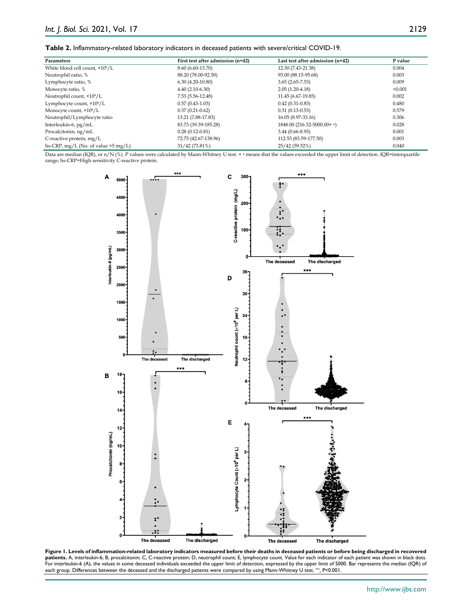| Parameters                                  | First test after admission (n=42) | Last test after admission (n=42) | P value |
|---------------------------------------------|-----------------------------------|----------------------------------|---------|
| White blood cell count, ×10 <sup>9</sup> /L | 8.60 (6.60-13.70)                 | 12.30 (7.43-21.38)               | 0.004   |
| Neutrophil ratio, %                         | 88.20 (78.00-92.50)               | 93.00 (88.15-95.68)              | 0.003   |
| Lymphocyte ratio, %                         | $6.30(4.20-10.80)$                | $3.65(2.65-7.53)$                | 0.009   |
| Monocyte ratio, %                           | $4.40(2.10-6.30)$                 | $2.05(1.20-4.18)$                | < 0.001 |
| Neutrophil count, ×10 <sup>9</sup> /L       | 7.53 (5.56-12.48)                 | 11.45 (6.67-19.85)               | 0.002   |
| Lymphocyte count, ×10 <sup>9</sup> /L       | $0.57(0.43 - 1.03)$               | $0.42(0.31-0.83)$                | 0.480   |
| Monocyte count, ×10 <sup>9</sup> /L         | $0.37(0.21-0.62)$                 | $0.31(0.13-0.53)$                | 0.579   |
| Neutrophil/Lymphocyte ratio                 | 13.21 (7.88-17.83)                | 16.05 (8.97-33.16)               | 0.306   |
| Interleukin-6, $pg/mL$                      | 83.73 (39.39-185.28)              | $1848.00(216.32-5000.00+a)$      | 0.028   |
| Procalcitonin, ng/mL                        | $0.28(0.12-0.81)$                 | $3.44(0.66 - 8.93)$              | 0.001   |
| C-reactive protein, mg/L                    | 72.75 (42.67-138.96)              | 112.53 (83.59-177.50)            | 0.003   |
| hs-CRP, $mg/L$ (No. of value $>5$ mg/L)     | $31/42(73.81\%)$                  | 25/42 (59.52%)                   | 0.040   |

Data are median (IQR), or n/N (%). P values were calculated by Mann-Whitney U test. + <sup>α</sup> means that the values exceeded the upper limit of detection. IQR=interquartile range; hs-CRP=High sensitivity C-reactive protein.



Figure 1. Levels of inflammation-related laboratory indicators measured before their deaths in deceased patients or before being discharged in recovered **patients.** A, interleukin-6; B, procalcitonin; C, C-reactive protein; D, neutrophil count; E, lymphocyte count. Value for each indicator of each patient was shown in black dots. For interleukin-6 (A), the values in some deceased individuals exceeded the upper limit of detection, expressed by the upper limit of 5000. Bar represents the median (IQR) of each group. Differences between the deceased and the discharged patients were compared by using Mann-Whitney U test. \*\*\**,* P<0.001.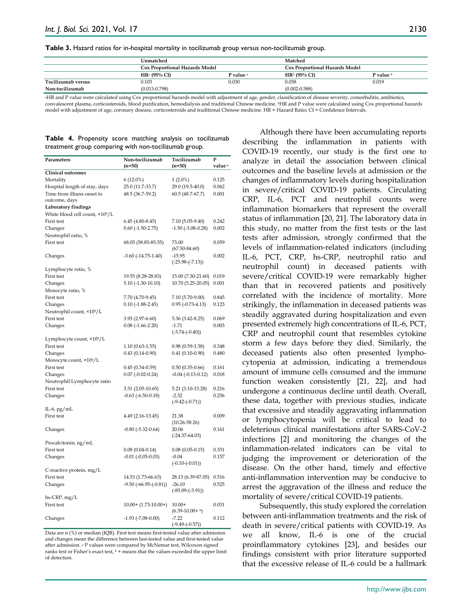**Table 3.** Hazard ratios for in-hospital mortality in tocilizumab group versus non-tocilizumab group.

|                    | Unmatched                             |           | Matched                               |           |
|--------------------|---------------------------------------|-----------|---------------------------------------|-----------|
|                    | <b>Cox Proportional Hazards Model</b> |           | <b>Cox Proportional Hazards Model</b> |           |
|                    | HR <sup>a</sup> (95% CI)              | P value a | HR <sup>b</sup> (95% CI)              | P value b |
| Tocilizumab versus | 0.103                                 | 0.030     | 0.038                                 | 0.019     |
| Non-tocilizumab    | $(0.013 - 0.798)$                     |           | $(0.002 - 0.588)$                     |           |

<sup>a</sup>HR and P value were calculated using Cox proportional hazards model with adjustment of age, gender, classification of disease severity, comorbiditis, antibiotics, convalescent plasma, corticosteroids, blood purification, hemodialysis and traditional Chinese medicine. bHR and P value were calculated using Cox proportional hazards

model with adjustment of age, coronary disease, corticosteroids and traditional Chinese medicine. HR = Hazard Ratio; CI = Confidence Intervals.

#### **Table 4.** Propensity score matching analysis on tocilizumab treatment group comparing with non-tocilizumab group.

|                                       |                              |                                | P                  |
|---------------------------------------|------------------------------|--------------------------------|--------------------|
| Parameters                            | Non-tocilizumab<br>$(n=50)$  | Tocilizumab<br>$(n=50)$        | value <sup>a</sup> |
| <b>Clinical outcomes</b>              |                              |                                |                    |
|                                       |                              |                                |                    |
| Mortality                             | $6(12.0\%)$                  | $1(2.0\%)$                     | 0.125              |
| Hospital length of stay, days         | 25.0 (11.7-33.7)             | 29.0 (19.5-40.0)               | 0.062              |
| Time from illness onset to            | 48.5 (36.7-59.2)             | $60.5(48.7-67.7)$              | 0.001              |
| outcome, days                         |                              |                                |                    |
| Laboratory findings                   |                              |                                |                    |
| White blood cell count, ×109/L        |                              |                                |                    |
| First test                            | $6.45(4.80-8.45)$            | 7.10 (5.05-9.40)               | 0.242              |
| Changes                               | $0.60$ (-1.50-2.75)          | $-1.50$ $(-3.08 - 0.28)$       | 0.002              |
| Neutrophil ratio, %                   |                              |                                |                    |
| First test                            | 68.05 (58.85-85.55)          | 73.00<br>$(67.50 - 84.60)$     | 0.059              |
| Changes                               | $-3.60$ $(-14.75 - 1.40)$    | $-15.95$                       | 0.002              |
|                                       |                              | $(-25.98 - (-7.13))$           |                    |
| Lymphocyte ratio, %                   |                              |                                |                    |
| First test                            | 19.55 (8.28-28.83)           | 15.00 (7.30-21.60)             | 0.019              |
| Changes                               | $5.10(-1.30-10.10)$          | 10.70 (5.25-20.05)             | 0.001              |
| Monocyte ratio, %                     |                              |                                |                    |
| First test                            | 7.70 (4.70-9.45)             | 7.10 (5.70-9.00)               | 0.845              |
| Changes                               | $0.10(-1.88-2.45)$           | $0.95$ ( $-0.73 - 4.13$ )      | 0.123              |
|                                       |                              |                                |                    |
| Neutrophil count, ×10 <sup>9</sup> /L |                              |                                | 0.069              |
| First test                            | $3.93(2.97-6.60)$            | $5.36(3.42 - 8.25)$<br>$-1.71$ |                    |
| Changes                               | $0.08(-1.66-2.20)$           | $(-3.74-(-0.40))$              | 0.003              |
|                                       |                              |                                |                    |
| Lymphocyte count, ×10 <sup>9</sup> /L |                              |                                |                    |
| First test                            | $1.10(0.63-1.55)$            | $0.98(0.59-1.38)$              | 0.348              |
| Changes                               | $0.43(0.14-0.90)$            | $0.41(0.10-0.90)$              | 0.480              |
| Monocyte count, ×10 <sup>9</sup> /L   |                              |                                |                    |
| First test                            | $0.45(0.34-0.59)$            | $0.50(0.35-0.66)$              | 0.161              |
| Changes                               | $0.07 (-0.02 - 0.24)$        | $-0.04$ $(-0.13 - 0.12)$       | 0.018              |
| Neutrophil:Lymphocyte ratio           |                              |                                |                    |
| First test                            | $3.31(2.05-10.65)$           | 5.21 (3.10-13.28)              | 0.216              |
| Changes                               | $-0.63$ $(-6.50 - 0.18)$     | $-2.32$                        | 0.256              |
|                                       |                              | $(-9.42 - (-0.71))$            |                    |
| IL-6, pg/mL                           |                              |                                |                    |
| First test                            | 4.49 (2.16-13.45)            | 21.38                          | 0.009              |
|                                       |                              | $(10.26 - 58.26)$              |                    |
| Changes                               | $-0.80$ $(-5.32 - 0.64)$     | 20.06                          | 0.161              |
|                                       |                              | $(-24.37 - 64.03)$             |                    |
| Procalcitonin, ng/mL                  |                              |                                |                    |
| First test                            | $0.08(0.04-0.14)$            | $0.08(0.05-0.15)$              | 0.351              |
| Changes                               | $-0.01$ $(-0.05-0.03)$       | $-0.04$                        | 0.157              |
|                                       |                              | $(-0.10 - (-0.01))$            |                    |
| C-reactive protein, mg/L              |                              |                                |                    |
| First test                            | 14.53 (1.73-66.63)           | 28.13 (6.39-87.05)             | 0.516              |
| Changes                               | $-9.50$ $(-66.95 - (-0.81))$ | $-26.10$                       | 0.525              |
|                                       |                              | $(-85.09 - (-3.91))$           |                    |
| hs-CRP, mg/L                          |                              |                                |                    |
| First test                            | $10.00+$ $(1.73-10.00+)$     | $10.00+$                       | 0.031              |
|                                       |                              | $(6.39-10.00+b)$               |                    |
| Changes                               | $-1.93$ $(-7.08 - 0.00)$     | $-7.22$                        | 0.112              |
|                                       |                              | $(-9.49 - (-0.57))$            |                    |

Data are n (%) or median (IQR). First test means first-tested value after admission and changes mean the difference between last-tested value and first-tested value after admission. <sup>a</sup> P values were compared by McNemar test, Wilcoxon signed ranks test or Fisher's exact test,  $\frac{b}{r}$  + means that the values exceeded the upper limit of detection.

Although there have been accumulating reports describing the inflammation in patients with COVID-19 recently, our study is the first one to analyze in detail the association between clinical outcomes and the baseline levels at admission or the changes of inflammatory levels during hospitalization in severe/critical COVID-19 patients. Circulating CRP, IL-6, PCT and neutrophil counts were inflammation biomarkers that represent the overall status of inflammation [20, 21]. The laboratory data in this study, no matter from the first tests or the last tests after admission, strongly confirmed that the levels of inflammation-related indicators (including IL-6, PCT, CRP, hs-CRP, neutrophil ratio and neutrophil count) in deceased patients with severe/critical COVID-19 were remarkably higher than that in recovered patients and positively correlated with the incidence of mortality. More strikingly, the inflammation in deceased patients was steadily aggravated during hospitalization and even presented extremely high concentrations of IL-6, PCT, CRP and neutrophil count that resembles cytokine storm a few days before they died. Similarly, the deceased patients also often presented lymphocytopenia at admission, indicating a tremendous amount of immune cells consumed and the immune function weaken consistently [21, 22], and had undergone a continuous decline until death. Overall, these data, together with previous studies, indicate that excessive and steadily aggravating inflammation or lymphocytopenia will be critical to lead to deleterious clinical manifestations after SARS-CoV-2 infections [2] and monitoring the changes of the inflammation-related indicators can be vital to judging the improvement or deterioration of the disease. On the other hand, timely and effective anti-inflammation intervention may be conducive to arrest the aggravation of the illness and reduce the mortality of severe/critical COVID-19 patients.

Subsequently, this study explored the correlation between anti-inflammation treatments and the risk of death in severe/critical patients with COVID-19. As we all know, IL-6 is one of the crucial proinflammatory cytokines [23], and besides our findings consistent with prior literature supported that the excessive release of IL-6 could be a hallmark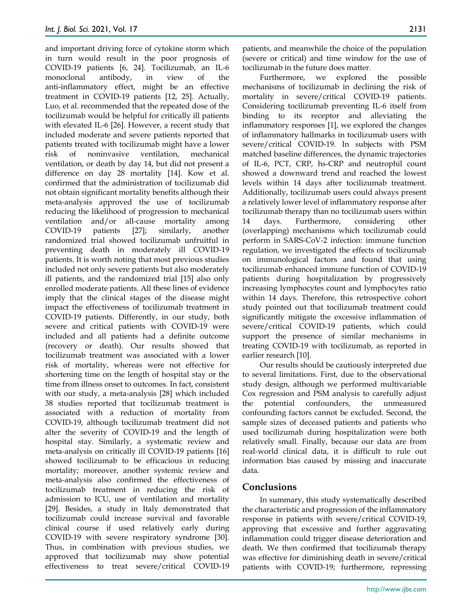and important driving force of cytokine storm which in turn would result in the poor prognosis of COVID-19 patients [6, 24]. Tocilizumab, an IL-6 monoclonal antibody, in view of the anti-inflammatory effect, might be an effective treatment in COVID-19 patients [12, 25]. Actually, Luo, et al. recommended that the repeated dose of the tocilizumab would be helpful for critically ill patients with elevated IL-6 [26]. However, a recent study that included moderate and severe patients reported that patients treated with tocilizumab might have a lower risk of noninvasive ventilation, mechanical ventilation, or death by day 14, but did not present a difference on day 28 mortality [14]. Kow et al. confirmed that the administration of tocilizumab did not obtain significant mortality benefits although their meta-analysis approved the use of tocilizumab reducing the likelihood of progression to mechanical ventilation and/or all-cause mortality among COVID-19 patients [27]; similarly, another randomized trial showed tocilizumab unfruitful in preventing death in moderately ill COVID-19 patients. It is worth noting that most previous studies included not only severe patients but also moderately ill patients, and the randomized trial [15] also only enrolled moderate patients. All these lines of evidence imply that the clinical stages of the disease might impact the effectiveness of tocilizumab treatment in COVID-19 patients. Differently, in our study, both severe and critical patients with COVID-19 were included and all patients had a definite outcome (recovery or death). Our results showed that tocilizumab treatment was associated with a lower risk of mortality, whereas were not effective for shortening time on the length of hospital stay or the time from illness onset to outcomes. In fact, consistent with our study, a meta-analysis [28] which included 38 studies reported that tocilizumab treatment is associated with a reduction of mortality from COVID-19, although tocilizumab treatment did not alter the severity of COVID-19 and the length of hospital stay. Similarly, a systematic review and meta-analysis on critically ill COVID-19 patients [16] showed tocilizumab to be efficacious in reducing mortality; moreover, another systemic review and meta-analysis also confirmed the effectiveness of tocilizumab treatment in reducing the risk of admission to ICU, use of ventilation and mortality [29]. Besides, a study in Italy demonstrated that tocilizumab could increase survival and favorable clinical course if used relatively early during COVID-19 with severe respiratory syndrome [30]. Thus, in combination with previous studies, we approved that tocilizumab may show potential effectiveness to treat severe/critical COVID-19

patients, and meanwhile the choice of the population (severe or critical) and time window for the use of tocilizumab in the future does matter.

Furthermore, we explored the possible mechanisms of tocilizumab in declining the risk of mortality in severe/critical COVID-19 patients. Considering tocilizumab preventing IL-6 itself from binding to its receptor and alleviating the inflammatory responses [1], we explored the changes of inflammatory hallmarks in tocilizumab users with severe/critical COVID-19. In subjects with PSM matched baseline differences, the dynamic trajectories of IL-6, PCT, CRP, hs-CRP and neutrophil count showed a downward trend and reached the lowest levels within 14 days after tocilizumab treatment. Additionally, tocilizumab users could always present a relatively lower level of inflammatory response after tocilizumab therapy than no tocilizumab users within 14 days. Furthermore, considering other (overlapping) mechanisms which tocilizumab could perform in SARS-CoV-2 infection: immune function regulation, we investigated the effects of tocilizumab on immunological factors and found that using tocilizumab enhanced immune function of COVID-19 patients during hospitalization by progressively increasing lymphocytes count and lymphocytes ratio within 14 days. Therefore, this retrospective cohort study pointed out that tocilizumab treatment could significantly mitigate the excessive inflammation of severe/critical COVID-19 patients, which could support the presence of similar mechanisms in treating COVID-19 with tocilizumab, as reported in earlier research [10].

Our results should be cautiously interpreted due to several limitations. First, due to the observational study design, although we performed multivariable Cox regression and PSM analysis to carefully adjust the potential confounders, the unmeasured confounding factors cannot be excluded. Second, the sample sizes of deceased patients and patients who used tocilizumab during hospitalization were both relatively small. Finally, because our data are from real-world clinical data, it is difficult to rule out information bias caused by missing and inaccurate data.

# **Conclusions**

In summary, this study systematically described the characteristic and progression of the inflammatory response in patients with severe/critical COVID-19, approving that excessive and further aggravating inflammation could trigger disease deterioration and death. We then confirmed that tocilizumab therapy was effective for diminishing death in severe/critical patients with COVID-19; furthermore, repressing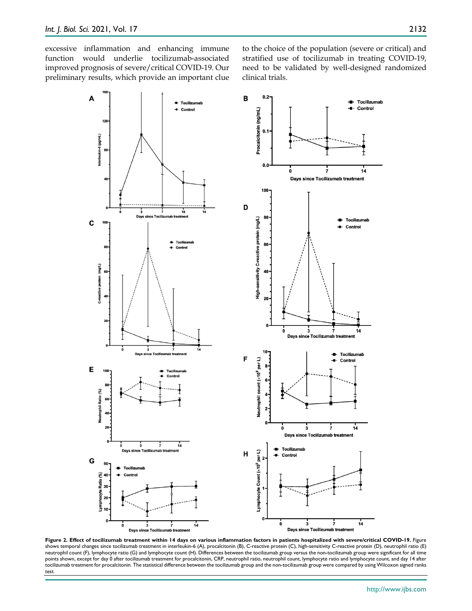excessive inflammation and enhancing immune function would underlie tocilizumab-associated improved prognosis of severe/critical COVID-19. Our preliminary results, which provide an important clue to the choice of the population (severe or critical) and stratified use of tocilizumab in treating COVID-19, need to be validated by well-designed randomized clinical trials.



**Figure 2. Effect of tocilizumab treatment within 14 days on various inflammation factors in patients hospitalized with severe/critical COVID-19.** Figure<br>shows temporal changes since tocilizumab treatment in interleukin-6 neutrophil count (F), lymphocyte ratio (G) and lymphocyte count (H). Differences between the tocilizumab group versus the non-tocilizumab group were significant for all time points shown, except for day 0 after tocilizumab treatment for procalcitonin, CRP, neutrophil ratio, neutrophil count, lymphocyte ratio and lymphocyte count, and day 14 after tocilizumab treatment for procalcitonin. The statistical difference between the tocilizumab group and the non-tocilizumab group were compared by using Wilcoxon signed ranks test.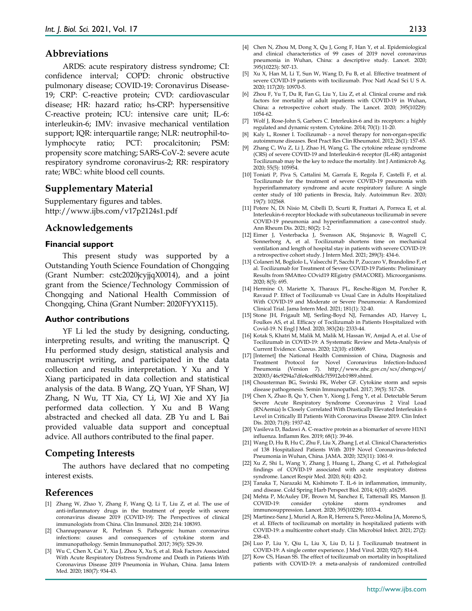## **Abbreviations**

ARDS: acute respiratory distress syndrome; CI: confidence interval; COPD: chronic obstructive pulmonary disease; COVID-19: Coronavirus Disease-19; CRP: C-reactive protein; CVD: cardiovascular disease; HR: hazard ratio; hs-CRP: hypersensitive C-reactive protein; ICU: intensive care unit; IL-6: interleukin-6; IMV: invasive mechanical ventilation support; IQR: interquartile range; NLR: neutrophil-tolymphocyte ratio; PCT: procalcitonin; PSM: propensity score matching; SARS-CoV-2: severe acute respiratory syndrome coronavirus-2; RR: respiratory rate; WBC: white blood cell counts.

## **Supplementary Material**

Supplementary figures and tables. http://www.ijbs.com/v17p2124s1.pdf

### **Acknowledgements**

#### **Financial support**

This present study was supported by a Outstanding Youth Science Foundation of Chongqing (Grant Number: cstc2020jcyjjqX0014), and a joint grant from the Science/Technology Commission of Chongqing and National Health Commission of Chongqing, China (Grant Number: 2020FYYX115).

#### **Author contributions**

YF Li led the study by designing, conducting, interpreting results, and writing the manuscript. Q Hu performed study design, statistical analysis and manuscript writing, and participated in the data collection and results interpretation. Y Xu and Y Xiang participated in data collection and statistical analysis of the data. B Wang, ZQ Yuan, YF Shan, WJ Zhang, N Wu, TT Xia, CY Li, WJ Xie and XY Jia performed data collection. Y Xu and B Wang abstracted and checked all data. ZB Yu and L Bai provided valuable data support and conceptual advice. All authors contributed to the final paper.

## **Competing Interests**

The authors have declared that no competing interest exists.

#### **References**

- [1] Zhang W, Zhao Y, Zhang F, Wang Q, Li T, Liu Z, et al. The use of anti-inflammatory drugs in the treatment of people with severe coronavirus disease 2019 (COVID-19): The Perspectives of clinical immunologists from China. Clin Immunol. 2020; 214: 108393.
- [2] Channappanavar R, Perlman S. Pathogenic human coronavirus infections: causes and consequences of cytokine storm and immunopathology. Semin Immunopathol. 2017; 39(5): 529-39.
- [3] Wu C, Chen X, Cai Y, Xia J, Zhou X, Xu S, et al. Risk Factors Associated With Acute Respiratory Distress Syndrome and Death in Patients With Coronavirus Disease 2019 Pneumonia in Wuhan, China. Jama Intern Med. 2020; 180(7): 934-43.
- [4] Chen N, Zhou M, Dong X, Qu J, Gong F, Han Y, et al. Epidemiological and clinical characteristics of 99 cases of 2019 novel coronavirus pneumonia in Wuhan, China: a descriptive study. Lancet. 2020; 395(10223): 507-13.
- [5] Xu X, Han M, Li T, Sun W, Wang D, Fu B, et al. Effective treatment of severe COVID-19 patients with tocilizumab. Proc Natl Acad Sci U S A. 2020; 117(20): 10970-5.
- [6] Zhou F, Yu T, Du R, Fan G, Liu Y, Liu Z, et al. Clinical course and risk factors for mortality of adult inpatients with COVID-19 in Wuhan, China: a retrospective cohort study. The Lancet. 2020; 395(10229): 1054-62.
- [7] Wolf J, Rose-John S, Garbers C. Interleukin-6 and its receptors: a highly regulated and dynamic system. Cytokine. 2014; 70(1): 11-20.
- [8] Kaly L, Rosner I. Tocilizumab a novel therapy for non-organ-specific autoimmune diseases. Best Pract Res Clin Rheumatol. 2012; 26(1): 157-65.
- [9] Zhang C, Wu Z, Li J, Zhao H, Wang G. The cytokine release syndrome (CRS) of severe COVID-19 and Interleukin-6 receptor (IL-6R) antagonist Tocilizumab may be the key to reduce the mortality. Int J Antimicrob Ag. 2020; 55(5): 105954.
- [10] Toniati P, Piva S, Cattalini M, Garrafa E, Regola F, Castelli F, et al. Tocilizumab for the treatment of severe COVID-19 pneumonia with hyperinflammatory syndrome and acute respiratory failure: A single center study of 100 patients in Brescia, Italy. Autoimmun Rev. 2020; 19(7): 102568.
- [11] Potere N, Di Nisio M, Cibelli D, Scurti R, Frattari A, Porreca E, et al. Interleukin-6 receptor blockade with subcutaneous tocilizumab in severe COVID-19 pneumonia and hyperinflammation: a case-control study. Ann Rheum Dis. 2021; 80(2): 1-2.
- [12] Eimer J, Vesterbacka J, Svensson AK, Stojanovic B, Wagrell C, Sonnerborg A, et al. Tocilizumab shortens time on mechanical ventilation and length of hospital stay in patients with severe COVID-19: a retrospective cohort study. J Intern Med. 2021; 289(3): 434-6.
- [13] Colaneri M, Bogliolo L, Valsecchi P, Sacchi P, Zuccaro V, Brandolino F, et al. Tocilizumab for Treatment of Severe COVID-19 Patients: Preliminary Results from SMAtteo COvid19 REgistry (SMACORE). Microorganisms. 2020; 8(5): 695.
- [14] Hermine O, Mariette X, Tharaux PL, Resche-Rigon M, Porcher R, Ravaud P. Effect of Tocilizumab vs Usual Care in Adults Hospitalized With COVID-19 and Moderate or Severe Pneumonia: A Randomized Clinical Trial. Jama Intern Med. 2021; 181(1): 32-40.
- [15] Stone JH, Frigault MJ, Serling-Boyd NJ, Fernandes AD, Harvey L, Foulkes AS, et al. Efficacy of Tocilizumab in Patients Hospitalized with Covid-19. N Engl J Med. 2020; 383(24): 2333-44.
- [16] Kotak S, Khatri M, Malik M, Malik M, Hassan W, Amjad A, et al. Use of Tocilizumab in COVID-19: A Systematic Review and Meta-Analysis of Current Evidence. Cureus. 2020; 12(10): e10869.
- [17] [Internet] the National Health Commission of China, Diagnosis and Treatment Protocol for Novel Coronavirus Infection-Induced Pneumonia (Version 7). http://www.nhc.gov.cn/xcs/zhengcwj/ 202003/46c9294a7dfe4cef80dc7f5912eb1989.shtml.
- [18] Chousterman BG, Swirski FK, Weber GF. Cytokine storm and sepsis disease pathogenesis. Semin Immunopathol. 2017; 39(5): 517-28.
- [19] Chen X, Zhao B, Qu Y, Chen Y, Xiong J, Feng Y, et al. Detectable Serum Severe Acute Respiratory Syndrome Coronavirus 2 Viral Load (RNAemia) Is Closely Correlated With Drastically Elevated Interleukin 6 Level in Critically Ill Patients With Coronavirus Disease 2019. Clin Infect Dis. 2020; 71(8): 1937-42.
- [20] Vasileva D, Badawi A. C-reactive protein as a biomarker of severe H1N1 influenza. Inflamm Res. 2019; 68(1): 39-46.
- [21] Wang D, Hu B, Hu C, Zhu F, Liu X, Zhang J, et al. Clinical Characteristics of 138 Hospitalized Patients With 2019 Novel Coronavirus-Infected Pneumonia in Wuhan, China. JAMA. 2020; 323(11): 1061-9.
- [22] Xu Z, Shi L, Wang Y, Zhang J, Huang L, Zhang C, et al. Pathological findings of COVID-19 associated with acute respiratory distress syndrome. Lancet Respir Med. 2020; 8(4): 420-2.
- [23] Tanaka T, Narazaki M, Kishimoto T. IL-6 in inflammation, immunity, and disease. Cold Spring Harb Perspect Biol. 2014; 6(10): a16295.
- [24] Mehta P, McAuley DF, Brown M, Sanchez E, Tattersall RS, Manson JJ. COVID-19: consider cytokine storm syndromes and immunosuppression. Lancet. 2020; 395(10229): 1033-4.
- [25] Martinez-Sanz J, Muriel A, Ron R, Herrera S, Perez-Molina JA, Moreno S, et al. Effects of tocilizumab on mortality in hospitalized patients with COVID-19: a multicentre cohort study. Clin Microbiol Infect. 2021; 27(2): 238-43.
- [26] Luo P, Liu Y, Qiu L, Liu X, Liu D, Li J. Tocilizumab treatment in COVID-19: A single center experience. J Med Virol. 2020; 92(7): 814-8.
- [27] Kow CS, Hasan SS. The effect of tocilizumab on mortality in hospitalized patients with COVID-19: a meta-analysis of randomized controlled